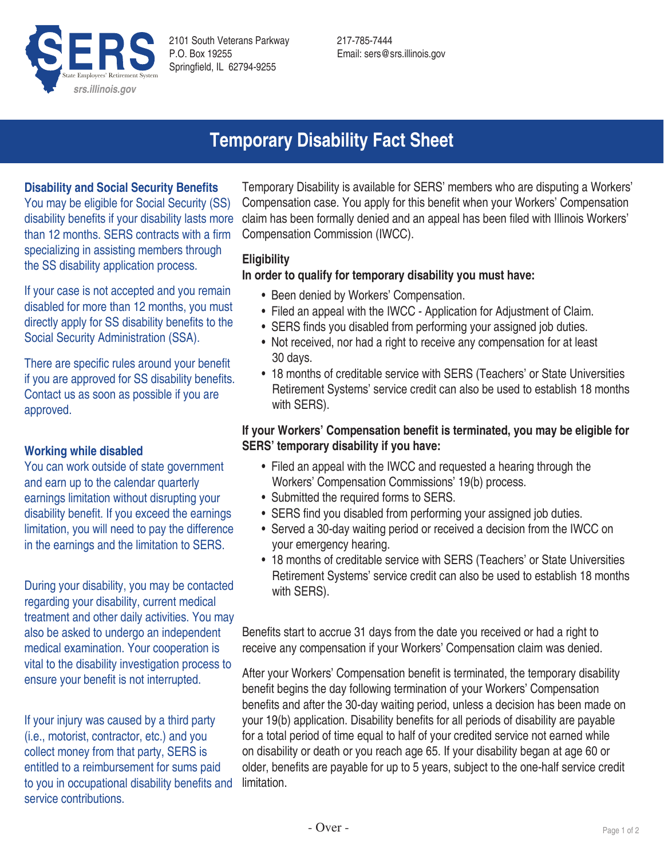

2101 South Veterans Parkway P.O. Box 19255 Springfield, IL 62794-9255

217-785-7444 Email: sers@srs.illinois.gov

# **Temporary Disability Fact Sheet**

# **Disability and Social Security Benefits**

You may be eligible for Social Security (SS) disability benefits if your disability lasts more than 12 months. SERS contracts with a firm specializing in assisting members through the SS disability application process.

If your case is not accepted and you remain disabled for more than 12 months, you must directly apply for SS disability benefits to the Social Security Administration (SSA).

There are specific rules around your benefit if you are approved for SS disability benefits. Contact us as soon as possible if you are approved.

# **Working while disabled**

You can work outside of state government and earn up to the calendar quarterly earnings limitation without disrupting your disability benefit. If you exceed the earnings limitation, you will need to pay the difference in the earnings and the limitation to SERS.

During your disability, you may be contacted regarding your disability, current medical treatment and other daily activities. You may also be asked to undergo an independent medical examination. Your cooperation is vital to the disability investigation process to ensure your benefit is not interrupted.

If your injury was caused by a third party (i.e., motorist, contractor, etc.) and you collect money from that party, SERS is entitled to a reimbursement for sums paid to you in occupational disability benefits and service contributions.

Temporary Disability is available for SERS' members who are disputing a Workers' Compensation case. You apply for this benefit when your Workers' Compensation claim has been formally denied and an appeal has been filed with Illinois Workers' Compensation Commission (IWCC).

## **Eligibility**

#### **In order to qualify for temporary disability you must have:**

- Been denied by Workers' Compensation.
- Filed an appeal with the IWCC Application for Adjustment of Claim.
- SERS finds you disabled from performing your assigned job duties.
- Not received, nor had a right to receive any compensation for at least 30 days.
- 18 months of creditable service with SERS (Teachers' or State Universities Retirement Systems' service credit can also be used to establish 18 months with SERS).

# **If your Workers' Compensation benefit is terminated, you may be eligible for SERS' temporary disability if you have:**

- Filed an appeal with the IWCC and requested a hearing through the Workers' Compensation Commissions' 19(b) process.
- Submitted the required forms to SERS.
- SERS find you disabled from performing your assigned job duties.
- Served a 30-day waiting period or received a decision from the IWCC on your emergency hearing.
- 18 months of creditable service with SERS (Teachers' or State Universities Retirement Systems' service credit can also be used to establish 18 months with SERS).

Benefits start to accrue 31 days from the date you received or had a right to receive any compensation if your Workers' Compensation claim was denied.

After your Workers' Compensation benefit is terminated, the temporary disability benefit begins the day following termination of your Workers' Compensation benefits and after the 30-day waiting period, unless a decision has been made on your 19(b) application. Disability benefits for all periods of disability are payable for a total period of time equal to half of your credited service not earned while on disability or death or you reach age 65. If your disability began at age 60 or older, benefits are payable for up to 5 years, subject to the one-half service credit limitation.